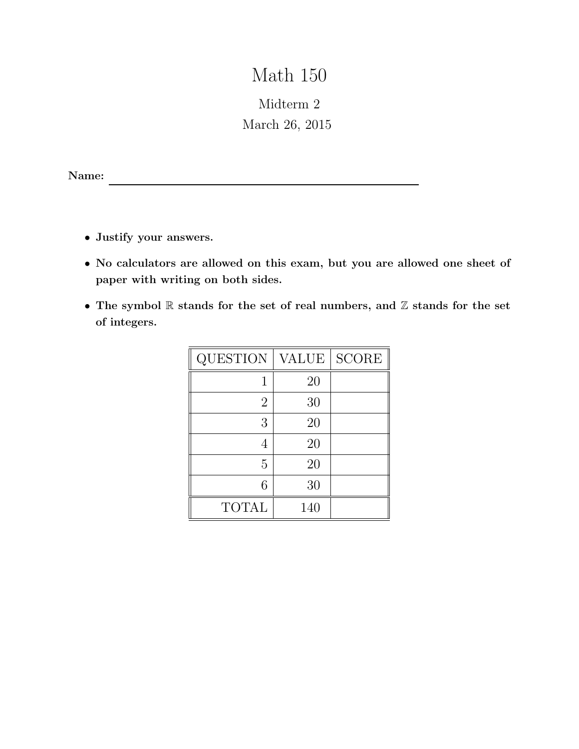# Math 150

## Midterm 2 March 26, 2015

Name:

- Justify your answers.
- No calculators are allowed on this exam, but you are allowed one sheet of paper with writing on both sides.
- The symbol  $\mathbb R$  stands for the set of real numbers, and  $\mathbb Z$  stands for the set of integers.

| <b>QUESTION</b> | <b>VALUE</b> | <b>SCORE</b> |
|-----------------|--------------|--------------|
|                 | 20           |              |
| $\overline{2}$  | 30           |              |
| 3               | 20           |              |
| 4               | 20           |              |
| 5               | 20           |              |
| 6               | 30           |              |
| <b>TOTAL</b>    | 140          |              |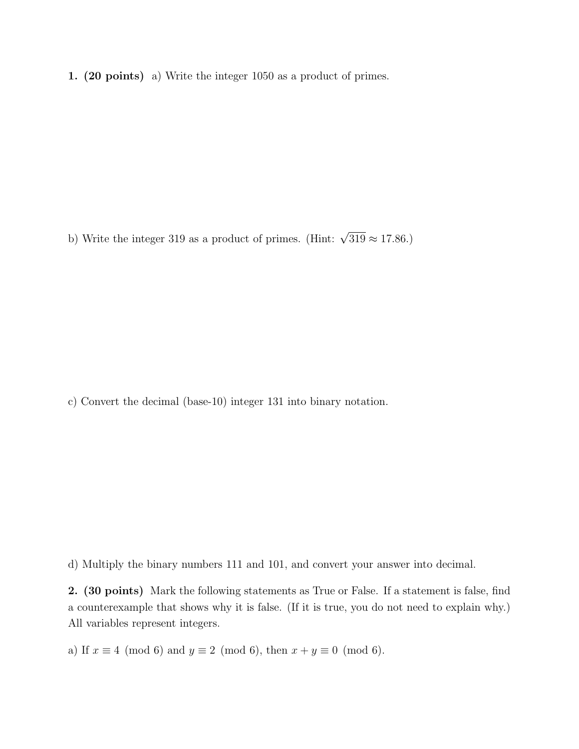1. (20 points) a) Write the integer 1050 as a product of primes.

b) Write the integer 319 as a product of primes. (Hint:  $\sqrt{319} \approx 17.86$ .)

c) Convert the decimal (base-10) integer 131 into binary notation.

d) Multiply the binary numbers 111 and 101, and convert your answer into decimal.

2. (30 points) Mark the following statements as True or False. If a statement is false, find a counterexample that shows why it is false. (If it is true, you do not need to explain why.) All variables represent integers.

a) If  $x \equiv 4 \pmod{6}$  and  $y \equiv 2 \pmod{6}$ , then  $x + y \equiv 0 \pmod{6}$ .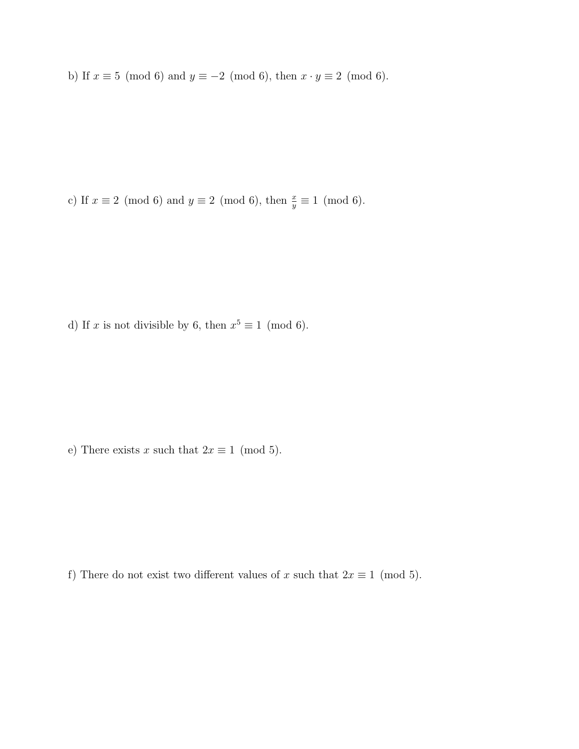b) If  $x \equiv 5 \pmod{6}$  and  $y \equiv -2 \pmod{6}$ , then  $x \cdot y \equiv 2 \pmod{6}$ .

c) If  $x \equiv 2 \pmod{6}$  and  $y \equiv 2 \pmod{6}$ , then  $\frac{x}{y} \equiv 1 \pmod{6}$ .

d) If x is not divisible by 6, then  $x^5 \equiv 1 \pmod{6}$ .

e) There exists x such that  $2x \equiv 1 \pmod{5}$ .

f) There do not exist two different values of x such that  $2x \equiv 1 \pmod{5}$ .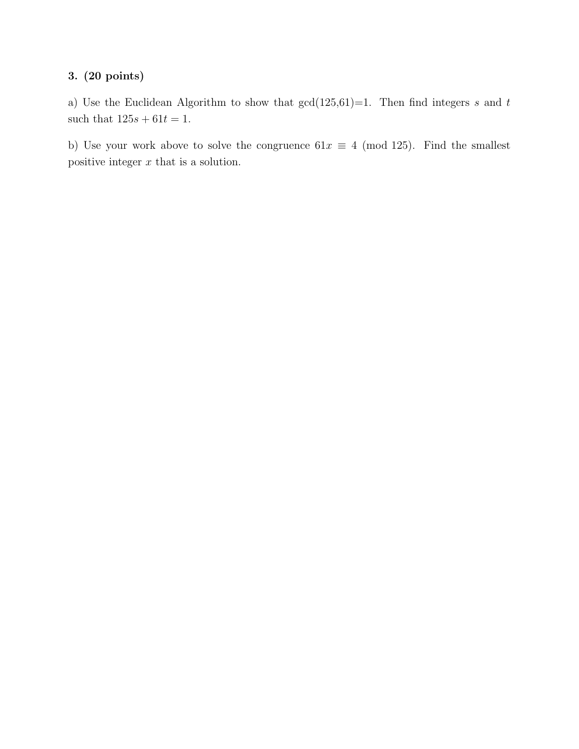### 3. (20 points)

a) Use the Euclidean Algorithm to show that  $gcd(125,61)=1$ . Then find integers s and t such that  $125s + 61t = 1$ .

b) Use your work above to solve the congruence  $61x \equiv 4 \pmod{125}$ . Find the smallest positive integer  $x$  that is a solution.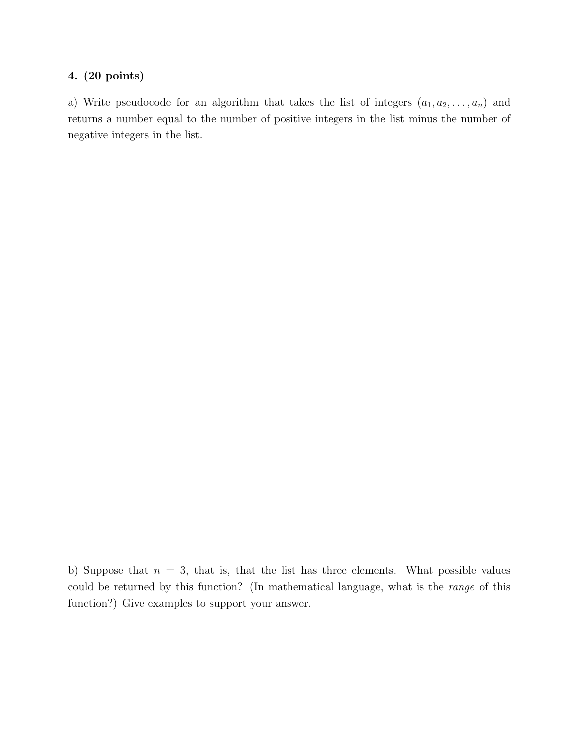#### 4. (20 points)

a) Write pseudocode for an algorithm that takes the list of integers  $(a_1, a_2, \ldots, a_n)$  and returns a number equal to the number of positive integers in the list minus the number of negative integers in the list.

b) Suppose that  $n = 3$ , that is, that the list has three elements. What possible values could be returned by this function? (In mathematical language, what is the range of this function?) Give examples to support your answer.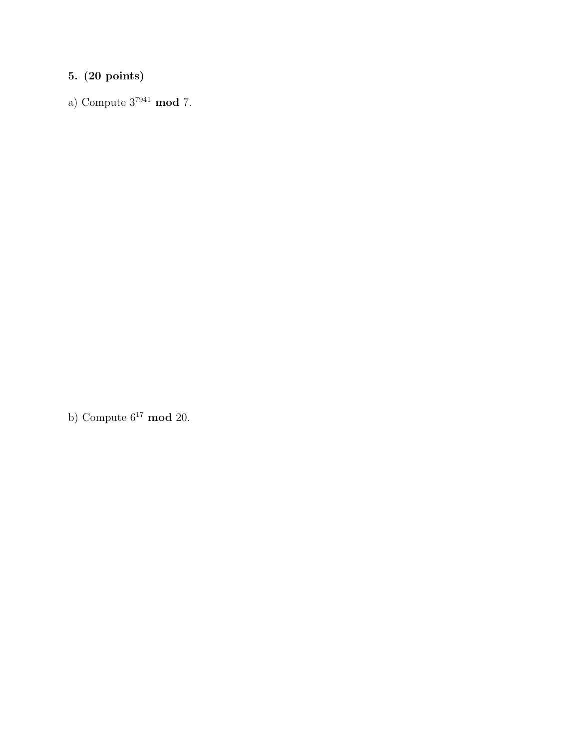## 5. (20 points)

a) Compute  $3^{7941}$  mod 7.

b) Compute  $6^{17} \mod 20$ .